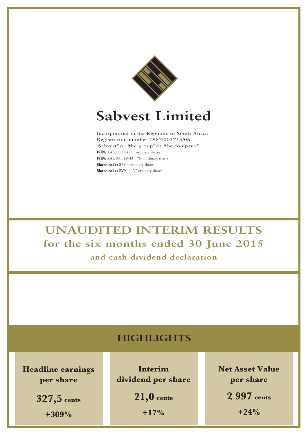

# **Sabvest Limited**

Incorporated in the Republic of South Africa Registration number 1987/003753/06 "Sabvest"or "the group"or "the company" **ISIN:** ZAE000006417 – ordinary shares **ISIN:** ZAE 000012043 – "N" ordinary shares **Share code:** SBV – ordinary shares **Share code:** SVN – "N" ordinary shares

**UNAUDITED INTERIM RESULTS for the six months ended 30 June 2015 and cash dividend declaration**

# **HIGHLIGHTS**

**Headline earnings per share**

> **327,5 cents +309%**

**Interim dividend per share**

> **21,0 cents +17%**

**Net Asset Value per share**

**2 997 cents**

**+24%**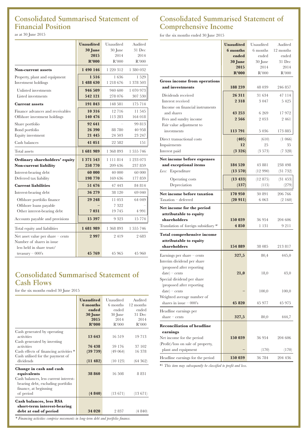# **Consolidated Summarised Statement of Financial Position**

as at 30 June 2015

|                                                                                                              | <b>Unaudited</b><br>30 June<br>2015<br>R'000 | Unaudited<br>30 June<br>2014<br>R'000 | Audited<br>31 Dec<br>2014<br>R'000 |
|--------------------------------------------------------------------------------------------------------------|----------------------------------------------|---------------------------------------|------------------------------------|
| <b>Non-current assets</b>                                                                                    | 1 490 146                                    | 1 220 312                             | 1 380 032                          |
| Property, plant and equipment<br>Investment holdings                                                         | 1516<br>1 488 630                            | 1636<br>1 218 676                     | 1 529<br>1 378 503                 |
| Unlisted investments<br>Listed investments                                                                   | 946 509<br>542 121                           | 940 600<br>278 076                    | 1 070 973<br>307 530               |
| <b>Current assets</b>                                                                                        | 191 843                                      | 148 581                               | 175 714                            |
| Finance advances and receivables<br>Offshore investment holdings                                             | 10 316<br>140 476                            | 12 716<br>113 283                     | 11 545<br>164 018                  |
| Share portfolio<br>Bond portfolio<br>Equity investment                                                       | 92 641<br>26 390<br>21 4 4 5                 | 88 780<br>24 503                      | 99 813<br>40 958<br>23 247         |
| Cash balances                                                                                                | 41 051                                       | 22 582                                | 151                                |
| Total assets                                                                                                 | 1681989                                      | 1 368 893                             | 1 555 746                          |
| Ordinary shareholders' equity<br><b>Non-current liability</b>                                                | 1 371 543<br>258 770                         | 1 111 814<br>209 636                  | 1 233 073<br>237 859               |
| Interest-bearing debt<br>Deferred tax liability                                                              | 60 000<br>198 770                            | 40 000<br>169 636                     | 60 000<br>177 859                  |
| <b>Current liabilities</b>                                                                                   | 51 676                                       | 47 443                                | 84 814                             |
| Interest-bearing debt<br>Offshore portfolio finance<br>Offshore loans payable<br>Other interest-bearing debt | 36 279<br>29 248<br>7031                     | 38 120<br>11 053<br>7 3 2 2<br>19 745 | 69 040<br>64 049<br>4 9 9 1        |
| Accounts payable and provisions                                                                              | 15 3 9 7                                     | 9 3 2 3                               | 15 774                             |
| Total equity and liabilities                                                                                 | 1681989                                      | 1 368 893                             | 1 555 746                          |
| Net asset value per share $-$ cents<br>Number of shares in issue<br>less held in share trust/                | 2997                                         | 2419                                  | 2683                               |
| treasury $-000$ 's                                                                                           | 45 769                                       | 45 965                                | 45 960                             |

## **Consolidated Summarised Statement of Cash Flows**

for the six months ended 30 June 2015

|                                        | <b>Unaudited</b> | Unaudited | Audited   |
|----------------------------------------|------------------|-----------|-----------|
|                                        | 6 months         | 6 months  | 12 months |
|                                        | ended            | ended     | ended     |
|                                        | 30 June          | 30 June   | 31 Dec    |
|                                        | 2015             | 2014      | 2014      |
|                                        | R'000            | R'000     | R'000     |
|                                        |                  |           |           |
| Cash generated by operating            |                  |           |           |
| activities                             | 13 643           | 16 519    | 19 7 13   |
| Cash generated by investing            |                  |           |           |
| activities                             | 76 438           | 59 176    | 37 102    |
| Cash effects of financing activities * | (39 739)         | (49064)   | 16 378    |
| Cash utilised for the payment of       |                  |           |           |
| dividends                              | (11 482)         | (10123)   | (64362)   |
| Change in cash and cash<br>equivalents | 38 860           | 16 508    | 8 8 3 1   |
| Cash balances, less current interest-  |                  |           |           |
| bearing debt, excluding portfolio      |                  |           |           |
| finance, at beginning                  |                  |           |           |
| of period                              | (4840)           | (13671)   | (13671)   |
|                                        |                  |           |           |
| <b>Cash balances, less RSA</b>         |                  |           |           |
| short-term interest-bearing            |                  |           |           |
| debt at end of period                  | 34 020           | 2837      | (4840)    |
|                                        |                  |           |           |

### **Consolidated Summarised Statement of Comprehensive Income**

for the six months ended 30 June 2015

|                                                           | <b>Unaudited</b>   | Unaudited         | Audited           |
|-----------------------------------------------------------|--------------------|-------------------|-------------------|
|                                                           | 6 months           | 6 months          | 12 months         |
|                                                           | ended              | ended             | ended             |
|                                                           | 30 June            | 30 June           | 31 Dec            |
|                                                           | 2015               | 2014              | 2014              |
|                                                           | R'000              | R'000             | R'000             |
| <b>Gross income from operations</b>                       |                    |                   |                   |
| and investments                                           | 188 239            | 48 039            | 246 857           |
| Dividends received                                        | 26 311             | 31 634            | 47 114            |
| Interest received                                         | 2318               | 3 0 4 7           | 5 4 2 5           |
| Income on financial instruments                           |                    |                   |                   |
| and shares                                                | 43 253             | 6 2 6 9           | 17972             |
| Fees and sundry income                                    | 2566               | 2053              | 2 4 6 1           |
| Fair value adjustment to                                  |                    |                   |                   |
| investments                                               | 113791             | 5 0 3 6           | 173 885           |
| Direct transactional costs                                | (405)              | (610)             | (1 066)           |
| Impairments                                               | 12                 | 25                | 35                |
| Interest paid                                             | (3326)             | $(3\;573)$        | (7 328)           |
| Net income before expenses                                |                    |                   |                   |
| and exceptional items                                     | 184 520            | 43 881            | 238 498           |
| Less: Expenditure                                         | $(13\;570)$        | (12990)           | (31732)           |
| Operating costs                                           | (13 433)           | (12 875)          | (31453)           |
| Depreciation                                              | (137)              | (115)             | (279)             |
|                                                           |                    |                   |                   |
| Net income before taxation<br>Taxation - deferred         | 170 950<br>(20911) | 30 891<br>6 0 6 3 | 206 766<br>(2160) |
|                                                           |                    |                   |                   |
| Net income for the period                                 |                    |                   |                   |
| attributable to equity<br>shareholders                    | 150 039            |                   |                   |
| Translation of foreign subsidiary *1                      | 4 8 5 0            | 36 954<br>1 131   | 204 606<br>9 211  |
|                                                           |                    |                   |                   |
| <b>Total comprehensive income</b>                         |                    |                   |                   |
| attributable to equity<br>shareholders                    | 154 889            | 38 085            | 213817            |
|                                                           |                    |                   |                   |
| Earnings per share $-$ cents                              | 327,5              | 80,4              | 445,0             |
| Interim dividend per share                                |                    |                   |                   |
| (proposed after reporting                                 |                    |                   |                   |
| $date$ – cents                                            | 21,0               | $18,\!0$          | 43,0              |
| Special dividend per share<br>(proposed after reporting   |                    |                   |                   |
| $date$ – cents                                            |                    | 100,0             | 100,0             |
| Weighted average number of                                |                    |                   |                   |
| shares in issue $-000$ 's                                 | 45 820             | 45 977            | 45 975            |
|                                                           |                    |                   |                   |
| Headline earnings per                                     |                    |                   |                   |
| share $-$ cents                                           | 327,5              | 80,0              | 444,7             |
| <b>Reconciliation of headline</b>                         |                    |                   |                   |
| earnings                                                  |                    |                   |                   |
| Net income for the period                                 | 150 039            | 36 954            | 204 606           |
| (Profit)/loss on sale of property,<br>plant and equipment |                    |                   |                   |
|                                                           |                    | (170)             | (170)             |
| Headline earnings for the period                          | 150 039            | 36 784            | 204 436           |

\*1 *This item may subsequently be classified to profit and loss.*

*\* Financing activities comprise movements in long-term debt and portfolio finance.*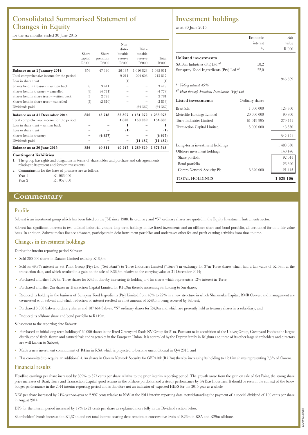### **Consolidated Summarised Statement of Changes in Equity**

for the six months ended 30 June 2015

|                                             | Share<br>capital<br>R'000 | Share<br>premium<br>R'000 | Non-<br>distri-<br>butable<br>reserve<br>R'000 | Disti-<br>butable<br>reserve<br>R'000 | Total<br>R'000 |
|---------------------------------------------|---------------------------|---------------------------|------------------------------------------------|---------------------------------------|----------------|
| Balance as at 1 January 2014                | 856                       | 47 140                    | 26 187                                         | 1 010 828                             | 1 085 011      |
| Total comprehensive income for the period   |                           |                           | 9211                                           | 204 606                               | 213817         |
| Loss in share trust                         |                           |                           | (1)                                            |                                       | $^{(1)}$       |
| Shares held in treasury - written back      | 8                         | 3 4 1 1                   |                                                |                                       | 3419           |
| Shares held in treasury - cancelled         | (8)                       | (4771)                    |                                                |                                       | (4779)         |
| Shares held in share trust $-$ written back | 3                         | 2 7 7 8                   |                                                |                                       | 2 7 8 1        |
| Shares held in share trust - cancelled      | (3)                       | (2 810)                   |                                                |                                       | (2 813)        |
| Dividends paid                              |                           |                           |                                                | (64362)                               | (64362)        |
| Balance as at 31 December 2014              | 856                       | 45 748                    | 35 397                                         | 1 151 072                             | 1 233 073      |
| Total comprehensive income for the period   |                           |                           | 4 8 5 0                                        | 150 039                               | 154 889        |
| Loss in share trust $-$ written back        |                           |                           | 1                                              |                                       | 1              |
| Loss in share trust                         |                           |                           | (1)                                            |                                       | (1)            |
| Shares held in treasury                     |                           | (4937)                    |                                                |                                       | (4937)         |
| Dividends paid                              |                           |                           |                                                | (11482)                               | (11482)        |
| Balance as at 30 June 2015                  | 856                       | 40 811                    | 40 247                                         | 1 289 629                             | 1 371 543      |

#### **Contingent liabilities**

1. The group has rights and obligations in terms of shareholder and purchase and sale agreements relating to its present and former investments.

2. Commitments for the lease of premises are as follows: Year 1 R1 066 000 Year 2 R 1 057 000

### **Investment holdings**

as at 30 June 2015

|                                                           | Economic        | Fair     |
|-----------------------------------------------------------|-----------------|----------|
|                                                           | interest        | value    |
|                                                           | $^{0}/_{0}$     | R'000    |
| <b>Unlisted investments</b>                               |                 |          |
| SA Bias Industries (Pty) Ltd <sup>*1</sup>                | 58,2            |          |
| Sunspray Food Ingredients (Pty) Ltd $*^2$                 | 22,0            |          |
|                                                           |                 | 946 509  |
| *!<br>Voting interest 49%                                 |                 |          |
| * <sup>2</sup> Held through Famdeen Investments (Pty) Ltd |                 |          |
| <b>Listed</b> investments                                 | Ordinary shares |          |
| Brait S.E.                                                | 1 000 000       | 123 300  |
| Metrofile Holdings Limited                                | 20 000 000      | 90 800   |
| Torre Industries Limited                                  | 61 019 995      | 279 471  |
| <b>Transaction Capital Limited</b>                        | 5 000 000       | 48 550   |
|                                                           |                 | 542 121  |
| Long-term investment holdings                             |                 | 1488630  |
| Offshore investment holdings                              |                 | 140 476  |
| Share portfolio                                           |                 | 92 641   |
| Bond portfolio                                            |                 | 26 390   |
| Corero Network Security Plc                               | 8 3 2 0 0 0 0   | 21445    |
| <b>TOTAL HOLDINGS</b>                                     |                 | 1629 106 |

# **Commentary**

#### **Profile**

Sabvest is an investment group which has been listed on the JSE since 1988. Its ordinary and "N" ordinary shares are quoted in the Equity Investment Instruments sector.

Sabvest has significant interests in two unlisted industrial groups, long-term holdings in five listed investments and an offshore share and bond portfolio, all accounted for on a fair value basis. In addition, Sabvest makes finance advances, participates in debt instrument portfolios and undertakes other fee and profit earning activities from time to time.

#### **Changes in investment holdings**

During the interim reporting period Sabvest:

• Sold 200 000 shares in Datatec Limited realising R13,3m;

- Sold its 49,9% interest in Set Point Group (Pty) Ltd ("Set Point") to Torre Industries Limited ("Torre") in exchange for 37m Torre shares which had a fair value of R159m at the transaction date, and which resulted in a gain on the sale of R36,3m relative to the carrying value at 31 December 2014;
- Purchased a further 1,027m Torre shares for R4,6m thereby increasing its holding to 61m shares which represents a 12% interest in Torre;
- Purchased a further 2m shares in Transaction Capital Limited for R16,9m thereby increasing its holding to 5m shares;
- Reduced its holding in the business of Sunspray Food Ingredients (Pty) Limited from 48% to 22% in a new structure in which Shalamuka Capital, RMB Corvest and management are co-invested with Sabvest and which reduction of interest resulted in a net amount of R48,5m being received by Sabvest;
- Purchased 3 000 Sabvest ordinary shares and 187 664 Sabvest "N" ordinary shares for R4,9m and which are presently held as treasury shares in a subsidiary; and

• Reduced its offshore share and bond portfolio to R119m.

Subsequent to the reporting date Sabvest:

- Purchased an initial long-term holding of 60 000 shares in the listed Greenyard Foods NV Group for \$1m. Pursuant to its acquisition of the Univeg Group, Greenyard Foods is the largest distributor of fresh, frozen and canned fruit and vegetables in the European Union. It is controlled by the Deprez family in Belgium and three of its other large shareholders and directors are well known to Sabvest;
- Made a new investment commitment of R45m in RSA which is projected to become unconditional in Q-4 2015; and
- Has committed to acquire an additional 4,1m shares in Corero Network Security for GBP410k (R7,7m) thereby increasing its holding to 12,42m shares representing 7,3% of Corero.

#### **Financial results**

Headline earnings per share increased by 309% to 327 cents per share relative to the prior interim reporting period. The growth arose from the gain on sale of Set Point, the strong share price increases of Brait, Torre and Transaction Capital, good returns in the offshore portfolios and a steady performance by SA Bias Industries. It should be seen in the context of the below budget performance in the 2014 interim reporting period and is therefore not an indicator of expected HEPS for the 2015 year as a whole.

NAV per share increased by 24% year-on-year to 2 997 cents relative to NAV at the 2014 interim reporting date, notwithstanding the payment of a special dividend of 100 cents per share in August 2014.

DPS for the interim period increased by 17% to 21 cents per share as explained more fully in the Dividend section below.

Shareholders' Funds increased to R1,37bn and net total interest-bearing debt remains at conservative levels of R26m in RSA and R29m offshore.